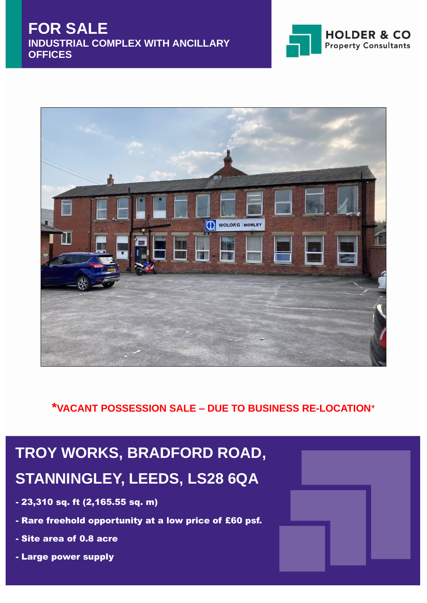



**\*VACANT POSSESSION SALE – DUE TO BUSINESS RE-LOCATION**\*

# **TROY WORKS, BRADFORD ROAD, STANNINGLEY, LEEDS, LS28 6QA**

- 23,310 sq. ft (2,165.55 sq. m)
- Rare freehold opportunity at a low price of £60 psf.
- Site area of 0.8 acre
- Large power supply